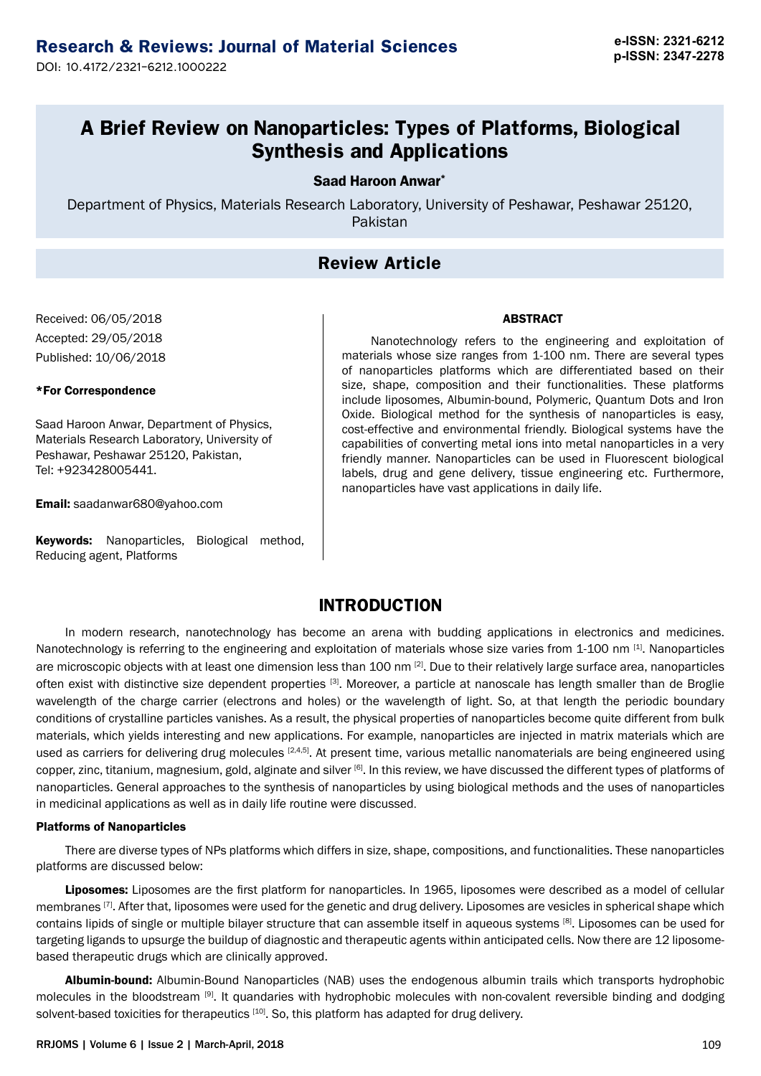**p-ISSN: 2347-2278** DOI: 10.4172/2321-6212.1000222

# **A Brief Review on Nanoparticles: Types of Platforms, Biological Synthesis and Applications**

### Saad Haroon Anwar\*

Department of Physics, Materials Research Laboratory, University of Peshawar, Peshawar 25120, Pakistan

## **Review Article**

Received: 06/05/2018 Accepted: 29/05/2018 Published: 10/06/2018

### \*For Correspondence

Saad Haroon Anwar, Department of Physics, Materials Research Laboratory, University of Peshawar, Peshawar 25120, Pakistan, Tel: +923428005441.

Email: [saadanwar680@yahoo.com](mailto:saadanwar680@yahoo.com)

Keywords: Nanoparticles, Biological method, Reducing agent, Platforms

Nanotechnology refers to the engineering and exploitation of materials whose size ranges from 1-100 nm. There are several types of nanoparticles platforms which are differentiated based on their size, shape, composition and their functionalities. These platforms include liposomes, Albumin-bound, Polymeric, Quantum Dots and Iron Oxide. Biological method for the synthesis of nanoparticles is easy, cost-effective and environmental friendly. Biological systems have the capabilities of converting metal ions into metal nanoparticles in a very friendly manner. Nanoparticles can be used in Fluorescent biological labels, drug and gene delivery, tissue engineering etc. Furthermore, nanoparticles have vast applications in daily life.

ABSTRACT

### **INTRODUCTION**

In modern research, nanotechnology has become an arena with budding applications in electronics and medicines. Nanotechnology is referring to the engineering and exploitation of materials whose size varies from  $1-100$  nm  $^{[1]}$ . Nanoparticles are microscopic objects with at least one dimension less than 100 nm [2]. Due to their relatively large surface area, nanoparticles often exist with distinctive size dependent properties [3]. Moreover, a particle at nanoscale has length smaller than de Broglie wavelength of the charge carrier (electrons and holes) or the wavelength of light. So, at that length the periodic boundary conditions of crystalline particles vanishes. As a result, the physical properties of nanoparticles become quite different from bulk materials, which yields interesting and new applications. For example, nanoparticles are injected in matrix materials which are used as carriers for delivering drug molecules  $[2,4,5]$ . At present time, various metallic nanomaterials are being engineered using copper, zinc, titanium, magnesium, gold, alginate and silver [6]. In this review, we have discussed the different types of platforms of nanoparticles. General approaches to the synthesis of nanoparticles by using biological methods and the uses of nanoparticles in medicinal applications as well as in daily life routine were discussed.

### Platforms of Nanoparticles

There are diverse types of NPs platforms which differs in size, shape, compositions, and functionalities. These nanoparticles platforms are discussed below:

Liposomes: Liposomes are the first platform for nanoparticles. In 1965, liposomes were described as a model of cellular membranes <sup>[7]</sup>. After that, liposomes were used for the genetic and drug delivery. Liposomes are vesicles in spherical shape which contains lipids of single or multiple bilayer structure that can assemble itself in aqueous systems [8]. Liposomes can be used for targeting ligands to upsurge the buildup of diagnostic and therapeutic agents within anticipated cells. Now there are 12 liposomebased therapeutic drugs which are clinically approved.

Albumin-bound: Albumin-Bound Nanoparticles (NAB) uses the endogenous albumin trails which transports hydrophobic molecules in the bloodstream [9]. It quandaries with hydrophobic molecules with non-covalent reversible binding and dodging solvent-based toxicities for therapeutics [10]. So, this platform has adapted for drug delivery.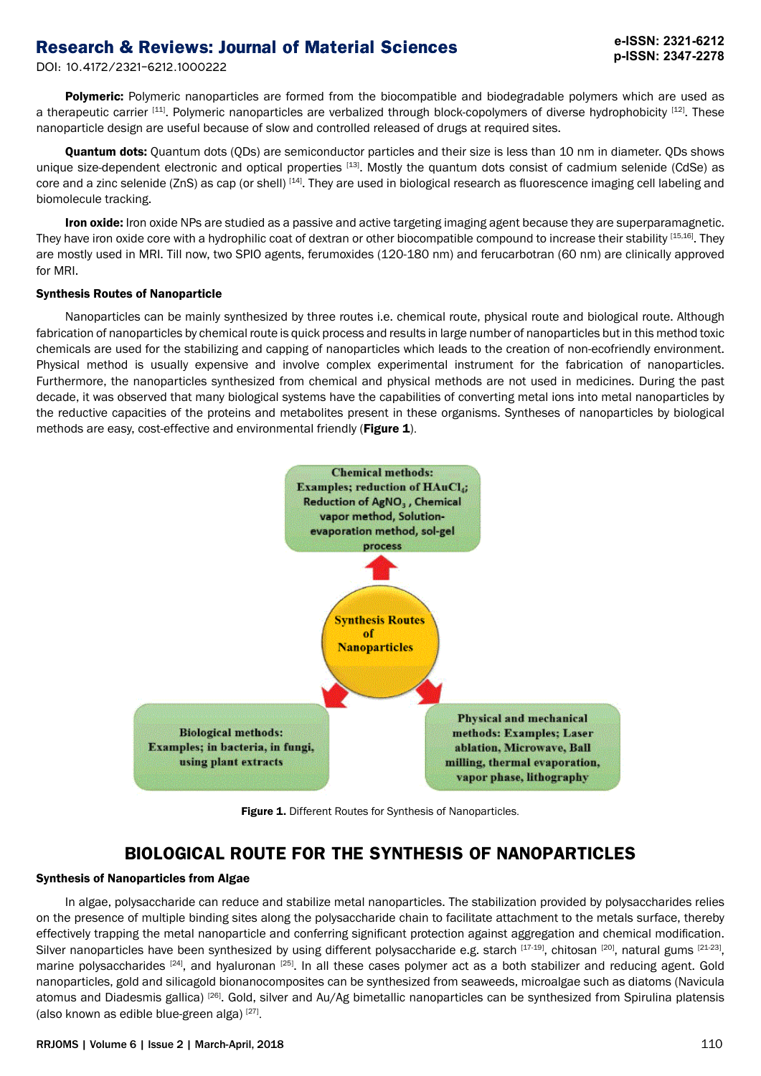DOI: 10.4172/2321-6212.1000222

Polymeric: Polymeric nanoparticles are formed from the biocompatible and biodegradable polymers which are used as a therapeutic carrier [11]. Polymeric nanoparticles are verbalized through block-copolymers of diverse hydrophobicity [12]. These nanoparticle design are useful because of slow and controlled released of drugs at required sites.

Quantum dots: Quantum dots (QDs) are semiconductor particles and their size is less than 10 nm in diameter. QDs shows unique size-dependent electronic and optical properties  $[13]$ . Mostly the quantum dots consist of cadmium selenide (CdSe) as core and a zinc selenide (ZnS) as cap (or shell) [14]. They are used in biological research as fluorescence imaging cell labeling and biomolecule tracking.

Iron oxide: Iron oxide NPs are studied as a passive and active targeting imaging agent because they are superparamagnetic. They have iron oxide core with a hydrophilic coat of dextran or other biocompatible compound to increase their stability [15,16]. They are mostly used in MRI. Till now, two SPIO agents, ferumoxides (120-180 nm) and ferucarbotran (60 nm) are clinically approved for MRI.

#### Synthesis Routes of Nanoparticle

Nanoparticles can be mainly synthesized by three routes i.e. chemical route, physical route and biological route. Although fabrication of nanoparticles by chemical route is quick process and results in large number of nanoparticles but in this method toxic chemicals are used for the stabilizing and capping of nanoparticles which leads to the creation of non-ecofriendly environment. Physical method is usually expensive and involve complex experimental instrument for the fabrication of nanoparticles. Furthermore, the nanoparticles synthesized from chemical and physical methods are not used in medicines. During the past decade, it was observed that many biological systems have the capabilities of converting metal ions into metal nanoparticles by the reductive capacities of the proteins and metabolites present in these organisms. Syntheses of nanoparticles by biological methods are easy, cost-effective and environmental friendly (Figure 1).



Figure 1. Different Routes for Synthesis of Nanoparticles.

### **BIOLOGICAL ROUTE FOR THE SYNTHESIS OF NANOPARTICLES**

### Synthesis of Nanoparticles from Algae

In algae, polysaccharide can reduce and stabilize metal nanoparticles. The stabilization provided by polysaccharides relies on the presence of multiple binding sites along the polysaccharide chain to facilitate attachment to the metals surface, thereby effectively trapping the metal nanoparticle and conferring significant protection against aggregation and chemical modification. Silver nanoparticles have been synthesized by using different polysaccharide e.g. starch [17-19], chitosan [20], natural gums [21-23], marine polysaccharides [24], and hyaluronan [25]. In all these cases polymer act as a both stabilizer and reducing agent. Gold nanoparticles, gold and silicagold bionanocomposites can be synthesized from seaweeds, microalgae such as diatoms (Navicula atomus and Diadesmis gallica) [26]. Gold, silver and Au/Ag bimetallic nanoparticles can be synthesized from Spirulina platensis (also known as edible blue-green alga) [27].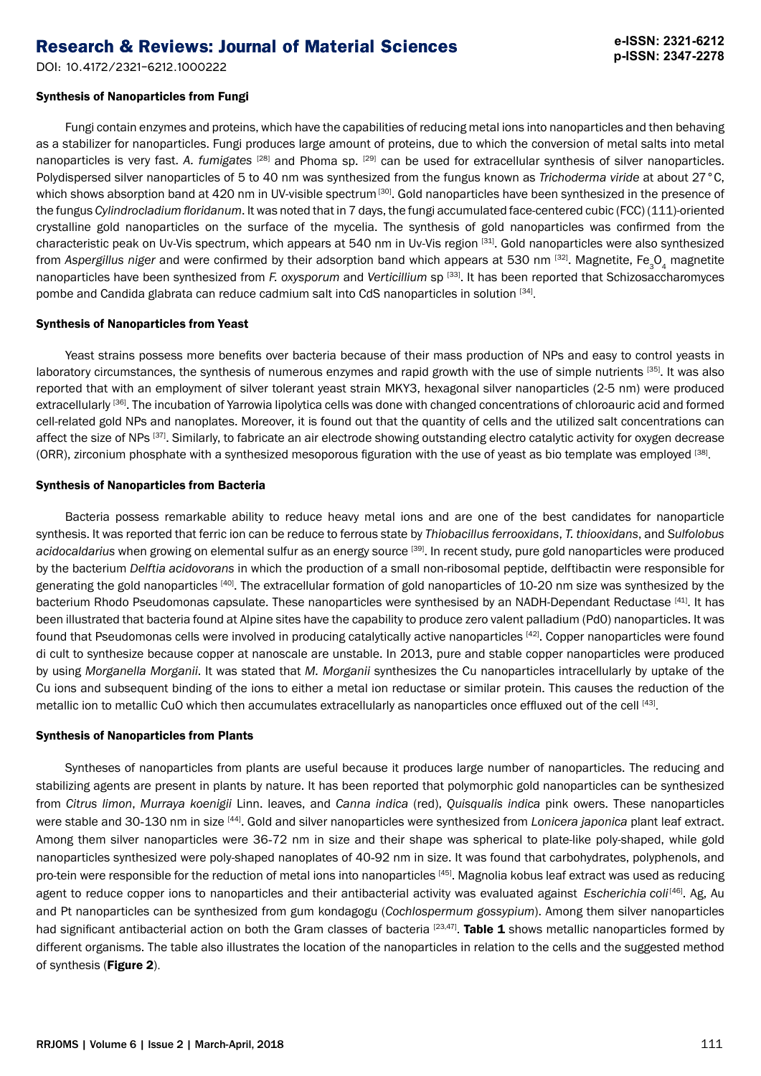DOI: 10.4172/2321-6212.1000222

# Synthesis of Nanoparticles from Fungi

Fungi contain enzymes and proteins, which have the capabilities of reducing metal ions into nanoparticles and then behaving as a stabilizer for nanoparticles. Fungi produces large amount of proteins, due to which the conversion of metal salts into metal nanoparticles is very fast. *A. fumigates* [28] and Phoma sp. [29] can be used for extracellular synthesis of silver nanoparticles. Polydispersed silver nanoparticles of 5 to 40 nm was synthesized from the fungus known as *Trichoderma viride* at about 27°C, which shows absorption band at 420 nm in UV-visible spectrum<sup>[30]</sup>. Gold nanoparticles have been synthesized in the presence of the fungus *Cylindrocladium floridanum*. It was noted that in 7 days, the fungi accumulated face-centered cubic (FCC) (111)-oriented crystalline gold nanoparticles on the surface of the mycelia. The synthesis of gold nanoparticles was confirmed from the characteristic peak on Uv-Vis spectrum, which appears at 540 nm in Uv-Vis region [31]. Gold nanoparticles were also synthesized from As*pergillus niger* and were confirmed by their adsorption band which appears at 530 nm <sup>[32]</sup>. Magnetite, Fe<sub>3</sub>O<sub>4</sub> magnetite nanoparticles have been synthesized from *F. oxysporum* and *Verticillium* sp [33]. It has been reported that Schizosaccharomyces pombe and Candida glabrata can reduce cadmium salt into CdS nanoparticles in solution [34].

### Synthesis of Nanoparticles from Yeast

Yeast strains possess more benefits over bacteria because of their mass production of NPs and easy to control yeasts in laboratory circumstances, the synthesis of numerous enzymes and rapid growth with the use of simple nutrients [35]. It was also reported that with an employment of silver tolerant yeast strain MKY3, hexagonal silver nanoparticles (2-5 nm) were produced extracellularly [36]. The incubation of Yarrowia lipolytica cells was done with changed concentrations of chloroauric acid and formed cell-related gold NPs and nanoplates. Moreover, it is found out that the quantity of cells and the utilized salt concentrations can affect the size of NPs [37]. Similarly, to fabricate an air electrode showing outstanding electro catalytic activity for oxygen decrease (ORR), zirconium phosphate with a synthesized mesoporous figuration with the use of yeast as bio template was employed [38].

### Synthesis of Nanoparticles from Bacteria

Bacteria possess remarkable ability to reduce heavy metal ions and are one of the best candidates for nanoparticle synthesis. It was reported that ferric ion can be reduce to ferrous state by *Thiobacillus ferrooxidans*, *T. thiooxidans*, and *Sulfolobus*  acidocaldarius when growing on elemental sulfur as an energy source [39]. In recent study, pure gold nanoparticles were produced by the bacterium *Delftia acidovorans* in which the production of a small non-ribosomal peptide, delftibactin were responsible for generating the gold nanoparticles [40]. The extracellular formation of gold nanoparticles of 10-20 nm size was synthesized by the bacterium Rhodo Pseudomonas capsulate. These nanoparticles were synthesised by an NADH-Dependant Reductase [41]. It has been illustrated that bacteria found at Alpine sites have the capability to produce zero valent palladium (Pd0) nanoparticles. It was found that Pseudomonas cells were involved in producing catalytically active nanoparticles [42]. Copper nanoparticles were found di cult to synthesize because copper at nanoscale are unstable. In 2013, pure and stable copper nanoparticles were produced by using *Morganella Morganii*. It was stated that *M. Morganii* synthesizes the Cu nanoparticles intracellularly by uptake of the Cu ions and subsequent binding of the ions to either a metal ion reductase or similar protein. This causes the reduction of the metallic ion to metallic CuO which then accumulates extracellularly as nanoparticles once effluxed out of the cell [43].

### Synthesis of Nanoparticles from Plants

Syntheses of nanoparticles from plants are useful because it produces large number of nanoparticles. The reducing and stabilizing agents are present in plants by nature. It has been reported that polymorphic gold nanoparticles can be synthesized from *Citrus limon*, *Murraya koenigii* Linn. leaves, and *Canna indica* (red), *Quisqualis indica* pink owers. These nanoparticles were stable and 30-130 nm in size [44]. Gold and silver nanoparticles were synthesized from *Lonicera japonica* plant leaf extract. Among them silver nanoparticles were 36-72 nm in size and their shape was spherical to plate-like poly-shaped, while gold nanoparticles synthesized were poly-shaped nanoplates of 40-92 nm in size. It was found that carbohydrates, polyphenols, and pro-tein were responsible for the reduction of metal ions into nanoparticles [45]. Magnolia kobus leaf extract was used as reducing agent to reduce copper ions to nanoparticles and their antibacterial activity was evaluated against *Escherichia coli*<sup>[46]</sup>. Ag, Au and Pt nanoparticles can be synthesized from gum kondagogu (*Cochlospermum gossypium*). Among them silver nanoparticles had significant antibacterial action on both the Gram classes of bacteria  $[23,47]$ . Table 1 shows metallic nanoparticles formed by different organisms. The table also illustrates the location of the nanoparticles in relation to the cells and the suggested method of synthesis (Figure 2).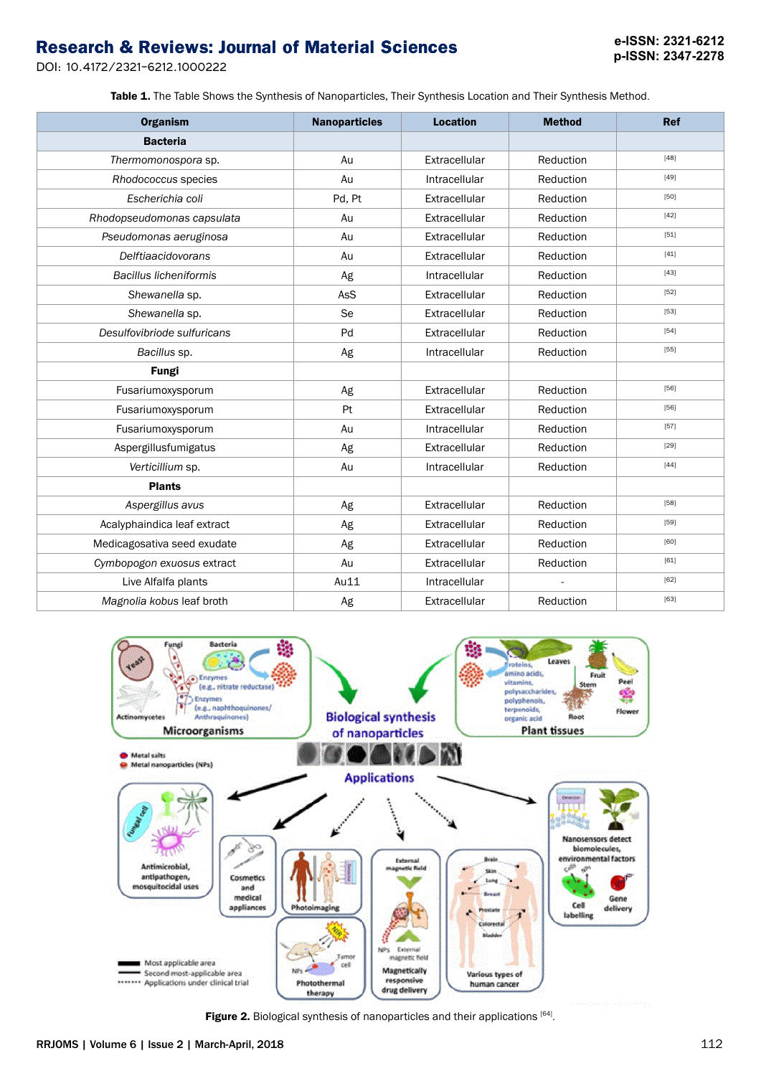DOI: 10.4172/2321-6212.1000222

Table 1. The Table Shows the Synthesis of Nanoparticles, Their Synthesis Location and Their Synthesis Method.

| <b>Organism</b>               | <b>Nanoparticles</b> | <b>Location</b> | <b>Method</b> | <b>Ref</b> |
|-------------------------------|----------------------|-----------------|---------------|------------|
| <b>Bacteria</b>               |                      |                 |               |            |
| Thermomonospora sp.           | Au                   | Extracellular   | Reduction     | [48]       |
| Rhodococcus species           | Au                   | Intracellular   | Reduction     | [49]       |
| Escherichia coli              | Pd, Pt               | Extracellular   | Reduction     | $[50]$     |
| Rhodopseudomonas capsulata    | Au                   | Extracellular   | Reduction     | [42]       |
| Pseudomonas aeruginosa        | Au                   | Extracellular   | Reduction     | [51]       |
| <b>Delftiaacidovorans</b>     | Au                   | Extracellular   | Reduction     | [41]       |
| <b>Bacillus licheniformis</b> | Ag                   | Intracellular   | Reduction     | [43]       |
| Shewanella sp.                | AsS                  | Extracellular   | Reduction     | [52]       |
| Shewanella sp.                | Se                   | Extracellular   | Reduction     | [53]       |
| Desulfovibriode sulfuricans   | Pd                   | Extracellular   | Reduction     | [54]       |
| Bacillus sp.                  | Ag                   | Intracellular   | Reduction     | [55]       |
| <b>Fungi</b>                  |                      |                 |               |            |
| Fusariumoxysporum             | Ag                   | Extracellular   | Reduction     | [56]       |
| Fusariumoxysporum             | Pt                   | Extracellular   | Reduction     | [56]       |
| Fusariumoxysporum             | Au                   | Intracellular   | Reduction     | [57]       |
| Aspergillusfumigatus          | Ag                   | Extracellular   | Reduction     | $[29]$     |
| Verticillium sp.              | Au                   | Intracellular   | Reduction     | [44]       |
| <b>Plants</b>                 |                      |                 |               |            |
| Aspergillus avus              | Ag                   | Extracellular   | Reduction     | [58]       |
| Acalyphaindica leaf extract   | Ag                   | Extracellular   | Reduction     | $[59]$     |
| Medicagosativa seed exudate   | Ag                   | Extracellular   | Reduction     | [60]       |
| Cymbopogon exuosus extract    | Au                   | Extracellular   | Reduction     | [61]       |
| Live Alfalfa plants           | Au11                 | Intracellular   |               | [62]       |
| Magnolia kobus leaf broth     | Ag                   | Extracellular   | Reduction     | [63]       |



Figure 2. Biological synthesis of nanoparticles and their applications [64].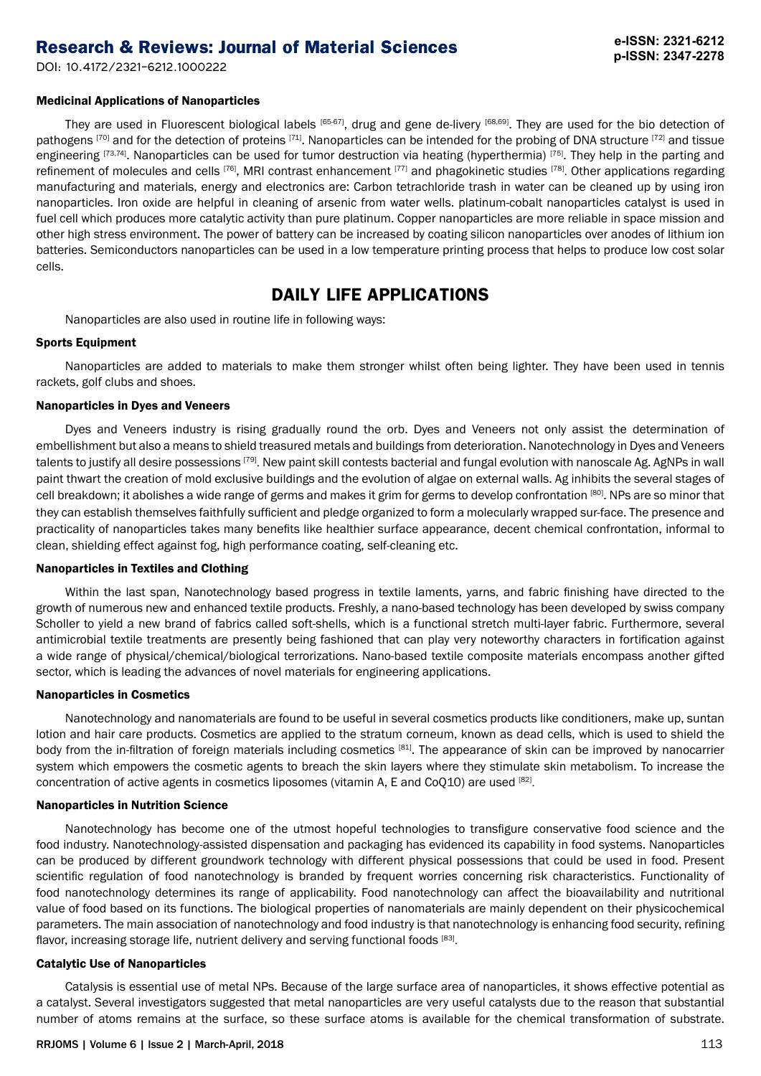DOI: 10.4172/2321-6212.1000222

# **e-ISSN: 2321-6212 p-ISSN: 2347-2278**

### Medicinal Applications of Nanoparticles

They are used in Fluorescent biological labels  $[65-67]$ , drug and gene de-livery  $[68,69]$ . They are used for the bio detection of pathogens [70] and for the detection of proteins [71]. Nanoparticles can be intended for the probing of DNA structure [72] and tissue engineering [73,74]. Nanoparticles can be used for tumor destruction via heating (hyperthermia) [75]. They help in the parting and refinement of molecules and cells [76], MRI contrast enhancement [77] and phagokinetic studies [78]. Other applications regarding manufacturing and materials, energy and electronics are: Carbon tetrachloride trash in water can be cleaned up by using iron nanoparticles. Iron oxide are helpful in cleaning of arsenic from water wells. platinum-cobalt nanoparticles catalyst is used in fuel cell which produces more catalytic activity than pure platinum. Copper nanoparticles are more reliable in space mission and other high stress environment. The power of battery can be increased by coating silicon nanoparticles over anodes of lithium ion batteries. Semiconductors nanoparticles can be used in a low temperature printing process that helps to produce low cost solar cells.

# **DAILY LIFE APPLICATIONS**

Nanoparticles are also used in routine life in following ways:

### Sports Equipment

Nanoparticles are added to materials to make them stronger whilst often being lighter. They have been used in tennis rackets, golf clubs and shoes.

### Nanoparticles in Dyes and Veneers

Dyes and Veneers industry is rising gradually round the orb. Dyes and Veneers not only assist the determination of embellishment but also a means to shield treasured metals and buildings from deterioration. Nanotechnology in Dyes and Veneers talents to justify all desire possessions <sup>[79]</sup>. New paint skill contests bacterial and fungal evolution with nanoscale Ag. AgNPs in wall paint thwart the creation of mold exclusive buildings and the evolution of algae on external walls. Ag inhibits the several stages of cell breakdown; it abolishes a wide range of germs and makes it grim for germs to develop confrontation [80]. NPs are so minor that they can establish themselves faithfully sufficient and pledge organized to form a molecularly wrapped sur-face. The presence and practicality of nanoparticles takes many benefits like healthier surface appearance, decent chemical confrontation, informal to clean, shielding effect against fog, high performance coating, self-cleaning etc.

### Nanoparticles in Textiles and Clothing

Within the last span, Nanotechnology based progress in textile laments, yarns, and fabric finishing have directed to the growth of numerous new and enhanced textile products. Freshly, a nano-based technology has been developed by swiss company Scholler to yield a new brand of fabrics called soft-shells, which is a functional stretch multi-layer fabric. Furthermore, several antimicrobial textile treatments are presently being fashioned that can play very noteworthy characters in fortification against a wide range of physical/chemical/biological terrorizations. Nano-based textile composite materials encompass another gifted sector, which is leading the advances of novel materials for engineering applications.

#### Nanoparticles in Cosmetics

Nanotechnology and nanomaterials are found to be useful in several cosmetics products like conditioners, make up, suntan lotion and hair care products. Cosmetics are applied to the stratum corneum, known as dead cells, which is used to shield the body from the in-filtration of foreign materials including cosmetics [81]. The appearance of skin can be improved by nanocarrier system which empowers the cosmetic agents to breach the skin layers where they stimulate skin metabolism. To increase the concentration of active agents in cosmetics liposomes (vitamin A, E and CoQ10) are used  $[82]$ .

### Nanoparticles in Nutrition Science

Nanotechnology has become one of the utmost hopeful technologies to transfigure conservative food science and the food industry. Nanotechnology-assisted dispensation and packaging has evidenced its capability in food systems. Nanoparticles can be produced by different groundwork technology with different physical possessions that could be used in food. Present scientific regulation of food nanotechnology is branded by frequent worries concerning risk characteristics. Functionality of food nanotechnology determines its range of applicability. Food nanotechnology can affect the bioavailability and nutritional value of food based on its functions. The biological properties of nanomaterials are mainly dependent on their physicochemical parameters. The main association of nanotechnology and food industry is that nanotechnology is enhancing food security, refining flavor, increasing storage life, nutrient delivery and serving functional foods [83].

### Catalytic Use of Nanoparticles

Catalysis is essential use of metal NPs. Because of the large surface area of nanoparticles, it shows effective potential as a catalyst. Several investigators suggested that metal nanoparticles are very useful catalysts due to the reason that substantial number of atoms remains at the surface, so these surface atoms is available for the chemical transformation of substrate.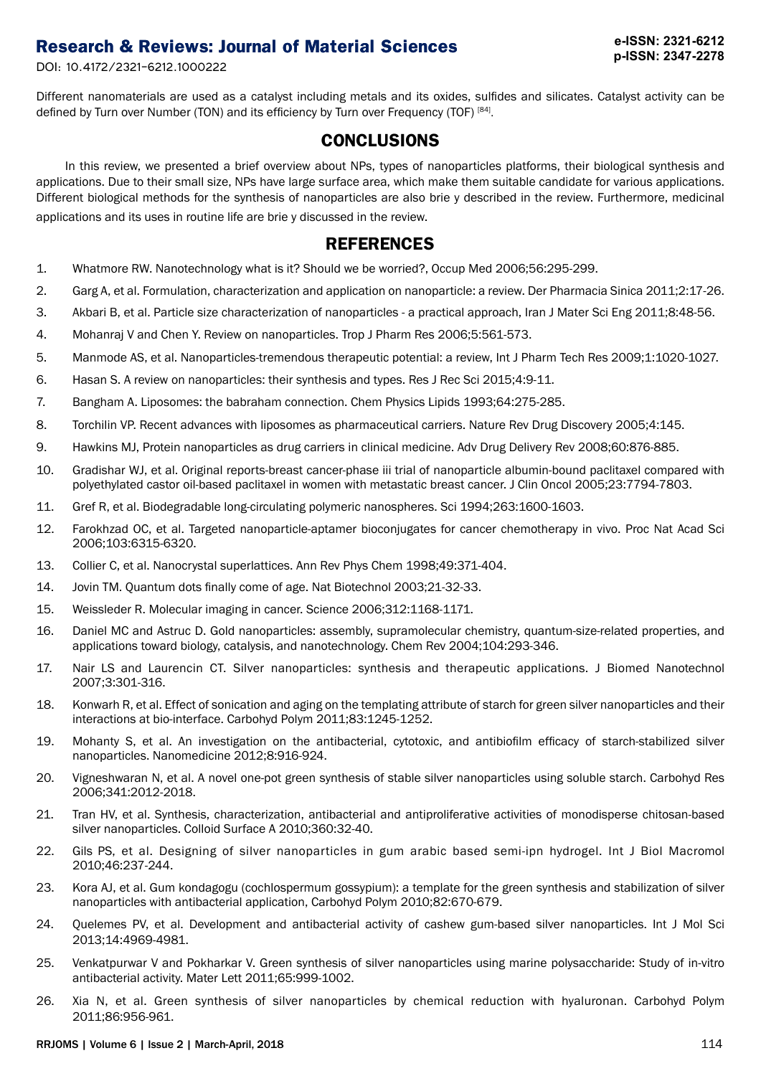DOI: 10.4172/2321-6212.1000222

Different nanomaterials are used as a catalyst including metals and its oxides, sulfides and silicates. Catalyst activity can be defined by Turn over Number (TON) and its efficiency by Turn over Frequency (TOF) [84].

# **CONCLUSIONS**

In this review, we presented a brief overview about NPs, types of nanoparticles platforms, their biological synthesis and applications. Due to their small size, NPs have large surface area, which make them suitable candidate for various applications. Different biological methods for the synthesis of nanoparticles are also brie y described in the review. Furthermore, medicinal applications and its uses in routine life are brie y discussed in the review.

# **REFERENCES**

- 1. Whatmore RW. Nanotechnology what is it? Should we be worried?, Occup Med 2006;56:295-299.
- 2. Garg A, et al. Formulation, characterization and application on nanoparticle: a review. Der Pharmacia Sinica 2011;2:17-26.
- 3. Akbari B, et al. Particle size characterization of nanoparticles a practical approach, Iran J Mater Sci Eng 2011;8:48-56.
- 4. Mohanraj V and Chen Y. Review on nanoparticles. Trop J Pharm Res 2006;5:561-573.
- 5. Manmode AS, et al. Nanoparticles-tremendous therapeutic potential: a review, Int J Pharm Tech Res 2009;1:1020-1027.
- 6. Hasan S. A review on nanoparticles: their synthesis and types. Res J Rec Sci 2015;4:9-11.
- 7. Bangham A. Liposomes: the babraham connection. Chem Physics Lipids 1993;64:275-285.
- 8. Torchilin VP. Recent advances with liposomes as pharmaceutical carriers. Nature Rev Drug Discovery 2005;4:145.
- 9. Hawkins MJ, Protein nanoparticles as drug carriers in clinical medicine. Adv Drug Delivery Rev 2008;60:876-885.
- 10. Gradishar WJ, et al. Original reports-breast cancer-phase iii trial of nanoparticle albumin-bound paclitaxel compared with polyethylated castor oil-based paclitaxel in women with metastatic breast cancer. J Clin Oncol 2005;23:7794-7803.
- 11. Gref R, et al. Biodegradable long-circulating polymeric nanospheres. Sci 1994;263:1600-1603.
- 12. Farokhzad OC, et al. Targeted nanoparticle-aptamer bioconjugates for cancer chemotherapy in vivo. Proc Nat Acad Sci 2006;103:6315-6320.
- 13. Collier C, et al. Nanocrystal superlattices. Ann Rev Phys Chem 1998;49:371-404.
- 14. Jovin TM. Quantum dots finally come of age. Nat Biotechnol 2003;21-32-33.
- 15. Weissleder R. Molecular imaging in cancer. Science 2006;312:1168-1171.
- 16. Daniel MC and Astruc D. Gold nanoparticles: assembly, supramolecular chemistry, quantum-size-related properties, and applications toward biology, catalysis, and nanotechnology. Chem Rev 2004;104:293-346.
- 17. Nair LS and Laurencin CT. Silver nanoparticles: synthesis and therapeutic applications. J Biomed Nanotechnol 2007;3:301-316.
- 18. Konwarh R, et al. Effect of sonication and aging on the templating attribute of starch for green silver nanoparticles and their interactions at bio-interface. Carbohyd Polym 2011;83:1245-1252.
- 19. Mohanty S, et al. An investigation on the antibacterial, cytotoxic, and antibiofilm efficacy of starch-stabilized silver nanoparticles. Nanomedicine 2012;8:916-924.
- 20. Vigneshwaran N, et al. A novel one-pot green synthesis of stable silver nanoparticles using soluble starch. Carbohyd Res 2006;341:2012-2018.
- 21. Tran HV, et al. Synthesis, characterization, antibacterial and antiproliferative activities of monodisperse chitosan-based silver nanoparticles. Colloid Surface A 2010;360:32-40.
- 22. Gils PS, et al. Designing of silver nanoparticles in gum arabic based semi-ipn hydrogel. Int J Biol Macromol 2010;46:237-244.
- 23. Kora AJ, et al. Gum kondagogu (cochlospermum gossypium): a template for the green synthesis and stabilization of silver nanoparticles with antibacterial application, Carbohyd Polym 2010;82:670-679.
- 24. Quelemes PV, et al. Development and antibacterial activity of cashew gum-based silver nanoparticles. Int J Mol Sci 2013;14:4969-4981.
- 25. Venkatpurwar V and Pokharkar V. Green synthesis of silver nanoparticles using marine polysaccharide: Study of in-vitro antibacterial activity. Mater Lett 2011;65:999-1002.
- 26. Xia N, et al. Green synthesis of silver nanoparticles by chemical reduction with hyaluronan. Carbohyd Polym 2011;86:956-961.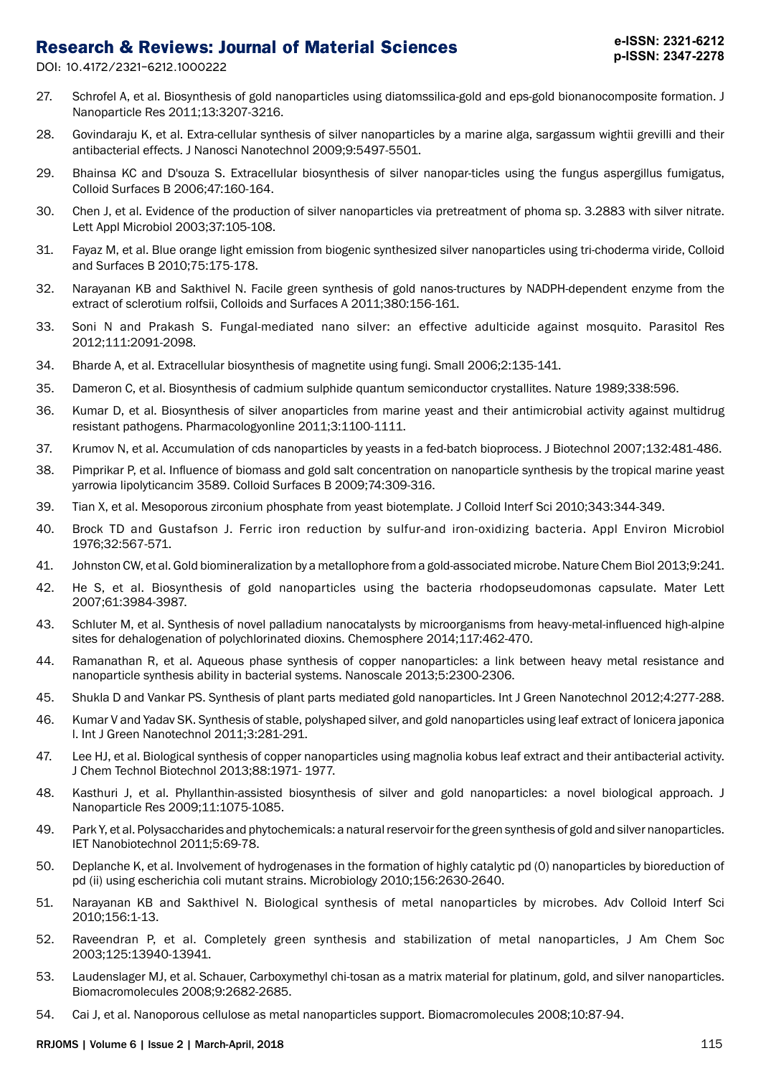DOI: 10.4172/2321-6212.1000222

- 27. Schrofel A, et al. Biosynthesis of gold nanoparticles using diatomssilica-gold and eps-gold bionanocomposite formation. J Nanoparticle Res 2011;13:3207-3216.
- 28. Govindaraju K, et al. Extra-cellular synthesis of silver nanoparticles by a marine alga, sargassum wightii grevilli and their antibacterial effects. J Nanosci Nanotechnol 2009;9:5497-5501.
- 29. Bhainsa KC and D'souza S. Extracellular biosynthesis of silver nanopar-ticles using the fungus aspergillus fumigatus, Colloid Surfaces B 2006;47:160-164.
- 30. Chen J, et al. Evidence of the production of silver nanoparticles via pretreatment of phoma sp. 3.2883 with silver nitrate. Lett Appl Microbiol 2003;37:105-108.
- 31. Fayaz M, et al. Blue orange light emission from biogenic synthesized silver nanoparticles using tri-choderma viride, Colloid and Surfaces B 2010;75:175-178.
- 32. Narayanan KB and Sakthivel N. Facile green synthesis of gold nanos-tructures by NADPH-dependent enzyme from the extract of sclerotium rolfsii, Colloids and Surfaces A 2011;380:156-161.
- 33. Soni N and Prakash S. Fungal-mediated nano silver: an effective adulticide against mosquito. Parasitol Res 2012;111:2091-2098.
- 34. Bharde A, et al. Extracellular biosynthesis of magnetite using fungi. Small 2006;2:135-141.
- 35. Dameron C, et al. Biosynthesis of cadmium sulphide quantum semiconductor crystallites. Nature 1989;338:596.
- 36. Kumar D, et al. Biosynthesis of silver anoparticles from marine yeast and their antimicrobial activity against multidrug resistant pathogens. Pharmacologyonline 2011;3:1100-1111.
- 37. Krumov N, et al. Accumulation of cds nanoparticles by yeasts in a fed-batch bioprocess. J Biotechnol 2007;132:481-486.
- 38. Pimprikar P, et al. Influence of biomass and gold salt concentration on nanoparticle synthesis by the tropical marine yeast yarrowia lipolyticancim 3589. Colloid Surfaces B 2009;74:309-316.
- 39. Tian X, et al. Mesoporous zirconium phosphate from yeast biotemplate. J Colloid Interf Sci 2010;343:344-349.
- 40. Brock TD and Gustafson J. Ferric iron reduction by sulfur-and iron-oxidizing bacteria. Appl Environ Microbiol 1976;32:567-571.
- 41. Johnston CW, et al. Gold biomineralization by a metallophore from a gold-associated microbe. Nature Chem Biol 2013;9:241.
- 42. He S, et al. Biosynthesis of gold nanoparticles using the bacteria rhodopseudomonas capsulate. Mater Lett 2007;61:3984-3987.
- 43. Schluter M, et al. Synthesis of novel palladium nanocatalysts by microorganisms from heavy-metal-influenced high-alpine sites for dehalogenation of polychlorinated dioxins. Chemosphere 2014;117:462-470.
- 44. Ramanathan R, et al. Aqueous phase synthesis of copper nanoparticles: a link between heavy metal resistance and nanoparticle synthesis ability in bacterial systems. Nanoscale 2013;5:2300-2306.
- 45. Shukla D and Vankar PS. Synthesis of plant parts mediated gold nanoparticles. Int J Green Nanotechnol 2012;4:277-288.
- 46. Kumar V and Yadav SK. Synthesis of stable, polyshaped silver, and gold nanoparticles using leaf extract of lonicera japonica l. Int J Green Nanotechnol 2011;3:281-291.
- 47. Lee HJ, et al. Biological synthesis of copper nanoparticles using magnolia kobus leaf extract and their antibacterial activity. J Chem Technol Biotechnol 2013;88:1971- 1977.
- 48. Kasthuri J, et al. Phyllanthin-assisted biosynthesis of silver and gold nanoparticles: a novel biological approach. J Nanoparticle Res 2009;11:1075-1085.
- 49. Park Y, et al. Polysaccharides and phytochemicals: a natural reservoir for the green synthesis of gold and silver nanoparticles. IET Nanobiotechnol 2011;5:69-78.
- 50. Deplanche K, et al. Involvement of hydrogenases in the formation of highly catalytic pd (0) nanoparticles by bioreduction of pd (ii) using escherichia coli mutant strains. Microbiology 2010;156:2630-2640.
- 51. Narayanan KB and Sakthivel N. Biological synthesis of metal nanoparticles by microbes. Adv Colloid Interf Sci 2010;156:1-13.
- 52. Raveendran P, et al. Completely green synthesis and stabilization of metal nanoparticles, J Am Chem Soc 2003;125:13940-13941.
- 53. Laudenslager MJ, et al. Schauer, Carboxymethyl chi-tosan as a matrix material for platinum, gold, and silver nanoparticles. Biomacromolecules 2008;9:2682-2685.
- 54. Cai J, et al. Nanoporous cellulose as metal nanoparticles support. Biomacromolecules 2008;10:87-94.